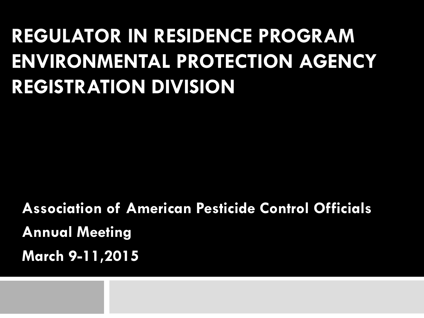#### **REGULATOR IN RESIDENCE PROGRAM ENVIRONMENTAL PROTECTION AGENCY REGISTRATION DIVISION**

**Association of American Pesticide Control Officials Annual Meeting March 9-11,2015**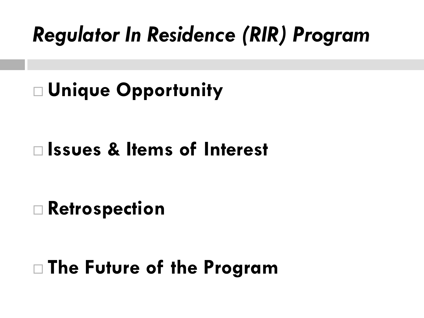#### *Regulator In Residence (RIR) Program*

#### **Unique Opportunity**

#### **Issues & Items of Interest**

#### **Retrospection**

#### **The Future of the Program**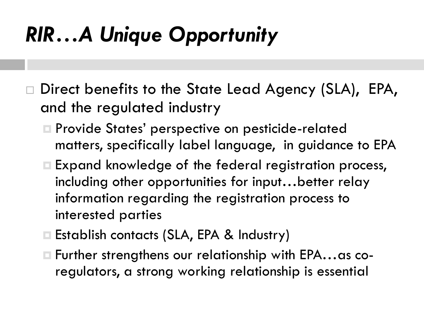#### *RIR…A Unique Opportunity*

- Direct benefits to the State Lead Agency (SLA), EPA, and the regulated industry
	- Provide States' perspective on pesticide-related matters, specifically label language, in guidance to EPA
	- Expand knowledge of the federal registration process, including other opportunities for input…better relay information regarding the registration process to interested parties
	- Establish contacts (SLA, EPA & Industry)
	- Further strengthens our relationship with EPA…as coregulators, a strong working relationship is essential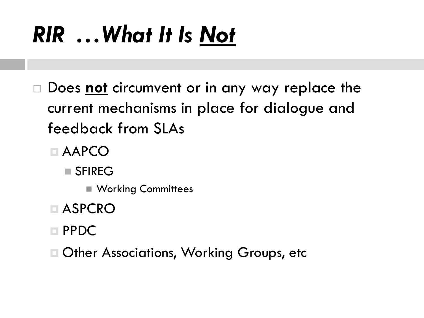# *RIR …What It Is Not*

- Does **not** circumvent or in any way replace the current mechanisms in place for dialogue and feedback from SLAs
	- AAPCO
		- SFIREG
			- **Norking Committees**
	- ASPCRO
	- PPDC
	- Other Associations, Working Groups, etc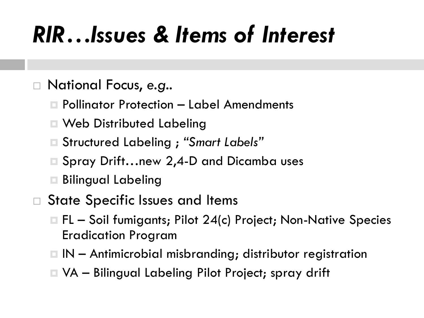#### *RIR…Issues & Items of Interest*

#### National Focus, *e.g..*

- Pollinator Protection Label Amendments
- Web Distributed Labeling
- Structured Labeling ; *"Smart Labels"*
- Spray Drift…new 2,4-D and Dicamba uses
- Bilingual Labeling
- State Specific Issues and Items
	- $\Box$  FL Soil fumigants; Pilot 24(c) Project; Non-Native Species Eradication Program
	- $\Box$  IN Antimicrobial misbranding; distributor registration
	- VA Bilingual Labeling Pilot Project; spray drift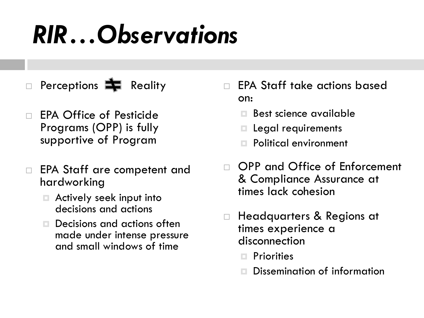# *RIR…Observations*

- Perceptions  $\blacksquare$  Reality
- EPA Office of Pesticide Programs (OPP) is fully supportive of Program
- □ EPA Staff are competent and hardworking
	- Actively seek input into decisions and actions
	- □ Decisions and actions often made under intense pressure and small windows of time
- EPA Staff take actions based on:
	- Best science available
	- Legal requirements
	- Political environment
- OPP and Office of Enforcement & Compliance Assurance at times lack cohesion
- □ Headquarters & Regions at times experience a disconnection
	- **Priorities**
	- Dissemination of information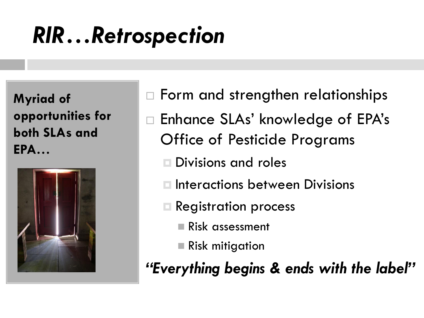**Myriad of opportunities for both SLAs and EPA…**



- □ Form and strengthen relationships
- Enhance SLAs' knowledge of EPA's Office of Pesticide Programs
	- Divisions and roles
	- Interactions between Divisions
	- Registration process
		- Risk assessment
		- Risk mitigation

*"Everything begins & ends with the label"*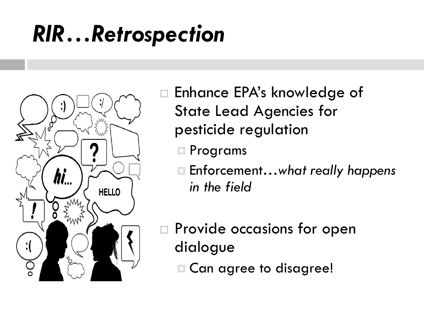

 Enhance EPA's knowledge of State Lead Agencies for pesticide regulation

- Programs
- Enforcement…*what really happens in the field*

 Provide occasions for open dialogue

Can agree to disagree!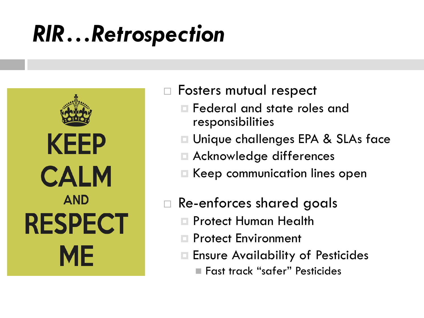**KEEP CALM AND RESPECT ME** 

- □ Fosters mutual respect
	- Federal and state roles and responsibilities
	- Unique challenges EPA & SLAs face
	- Acknowledge differences
	- Keep communication lines open
- Re-enforces shared goals
	- Protect Human Health
	- Protect Environment
	- Ensure Availability of Pesticides
		- Fast track "safer" Pesticides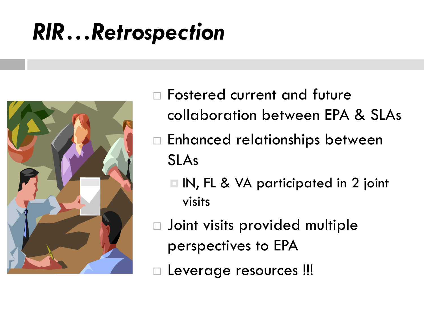

- Fostered current and future collaboration between EPA & SLAs
- □ Enhanced relationships between SLAs
	- □ IN, FL & VA participated in 2 joint visits
- Joint visits provided multiple perspectives to EPA
- Leverage resources !!!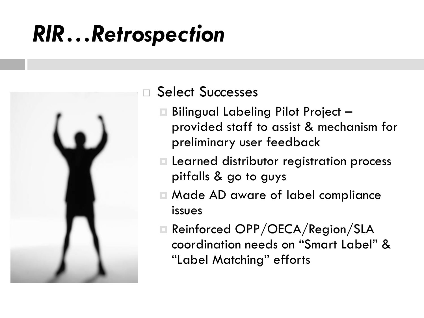

#### Select Successes

- Bilingual Labeling Pilot Project provided staff to assist & mechanism for preliminary user feedback
- Learned distributor registration process pitfalls & go to guys
- Made AD aware of label compliance issues
- □ Reinforced OPP/OECA/Region/SLA coordination needs on "Smart Label" & "Label Matching" efforts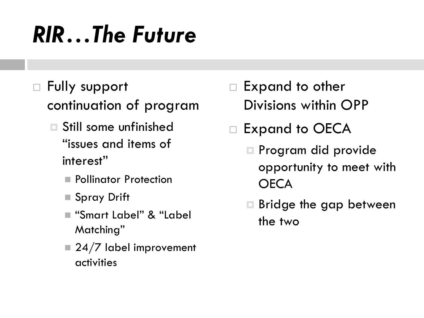# *RIR…The Future*

- Fully support continuation of program
	- Still some unfinished "issues and items of interest"
		- **Pollinator Protection**
		- Spray Drift
		- "Smart Label" & "Label Matching"
		- $\blacksquare$  24/7 label improvement activities
- Expand to other Divisions within OPP
- □ Expand to OECA
	- Program did provide opportunity to meet with **OECA**
	- **□ Bridge the gap between** the two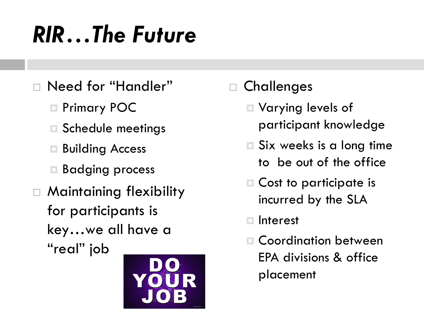# *RIR…The Future*

- Need for "Handler"
	- □ Primary POC
	- Schedule meetings
	- Building Access
	- Badging process
- Maintaining flexibility for participants is key…we all have a "real" job



**Challenges** 

- Varying levels of participant knowledge
- **□ Six weeks is a long time** to be out of the office
- Cost to participate is incurred by the SLA
- Interest
- Coordination between EPA divisions & office placement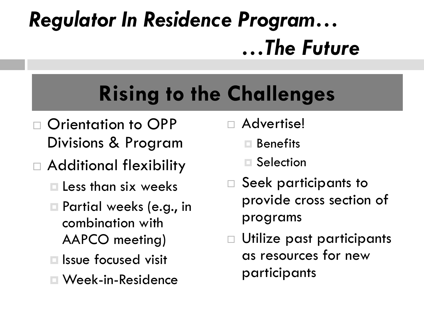# *Regulator In Residence Program… …The Future*

#### **Rising to the Challenges**

- □ Orientation to OPP Divisions & Program
- Additional flexibility
	- $\square$  Less than six weeks
	- Partial weeks (e.g., in combination with AAPCO meeting)
	- Issue focused visit
	- Week-in-Residence
- Advertise!
	- **□ Benefits**
	- **□ Selection**
- Seek participants to provide cross section of programs
- Utilize past participants as resources for new participants